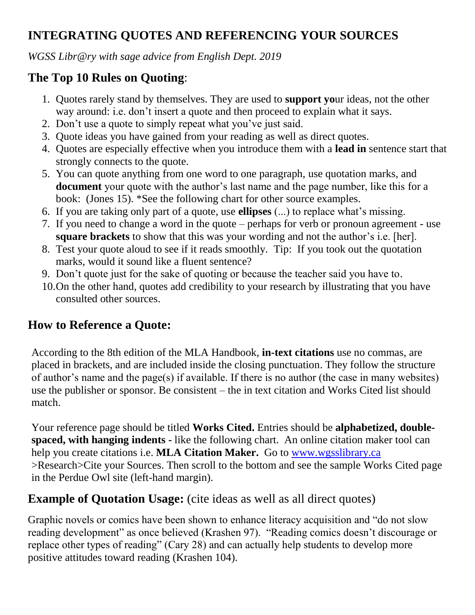# **INTEGRATING QUOTES AND REFERENCING YOUR SOURCES**

*WGSS Libr@ry with sage advice from English Dept. 2019*

### **The Top 10 Rules on Quoting**:

- 1. Quotes rarely stand by themselves. They are used to **support yo**ur ideas, not the other way around: i.e. don't insert a quote and then proceed to explain what it says.
- 2. Don't use a quote to simply repeat what you've just said.
- 3. Quote ideas you have gained from your reading as well as direct quotes.
- 4. Quotes are especially effective when you introduce them with a **lead in** sentence start that strongly connects to the quote.
- 5. You can quote anything from one word to one paragraph, use quotation marks, and **document** your quote with the author's last name and the page number, like this for a book: (Jones 15). \*See the following chart for other source examples.
- 6. If you are taking only part of a quote, use **ellipses** (...) to replace what's missing.
- 7. If you need to change a word in the quote perhaps for verb or pronoun agreement use **square brackets** to show that this was your wording and not the author's i.e. [her].
- 8. Test your quote aloud to see if it reads smoothly. Tip: If you took out the quotation marks, would it sound like a fluent sentence?
- 9. Don't quote just for the sake of quoting or because the teacher said you have to.
- 10.On the other hand, quotes add credibility to your research by illustrating that you have consulted other sources.

### **How to Reference a Quote:**

According to the 8th edition of the MLA Handbook, **in-text citations** use no commas, are placed in brackets, and are included inside the closing punctuation. They follow the structure of author's name and the page(s) if available. If there is no author (the case in many websites) use the publisher or sponsor. Be consistent – the in text citation and Works Cited list should match.

Your reference page should be titled **Works Cited.** Entries should be **alphabetized, doublespaced, with hanging indents -** like the following chart. An online citation maker tool can help you create citations i.e. **MLA Citation Maker.** Go to [www.wgsslibrary.ca](http://www.wgsslibrary.ca/) >Research>Cite your Sources. Then scroll to the bottom and see the sample Works Cited page in the Perdue Owl site (left-hand margin).

### **Example of Quotation Usage:** (cite ideas as well as all direct quotes)

Graphic novels or comics have been shown to enhance literacy acquisition and "do not slow reading development" as once believed (Krashen 97). "Reading comics doesn't discourage or replace other types of reading" (Cary 28) and can actually help students to develop more positive attitudes toward reading (Krashen 104).